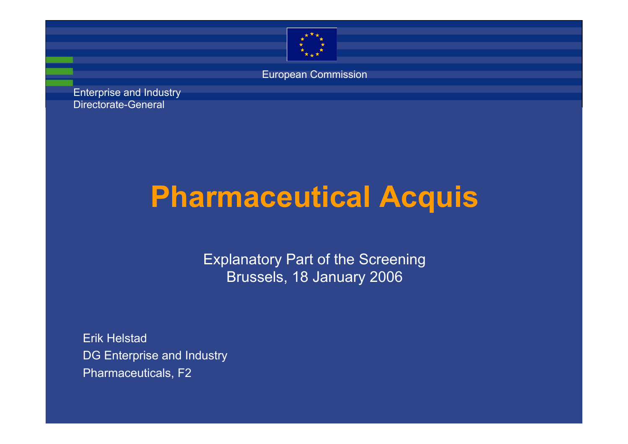

European Commission

Enterprise and Industry Directorate-General

# **Pharmaceutical Acquis**

Explanatory Part of the Screening Brussels, 18 January 2006

Erik HelstadDG Enterprise and Industry Pharmaceuticals, F2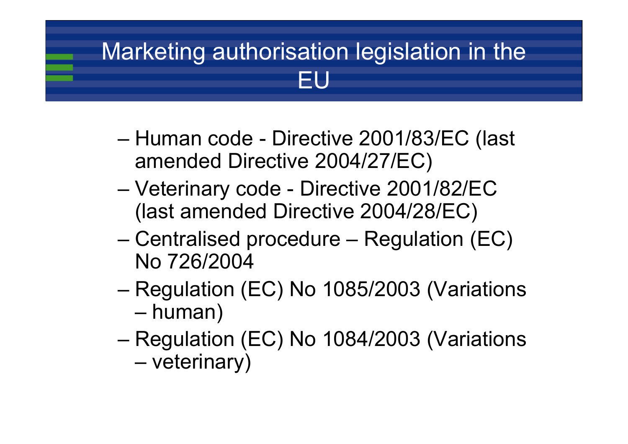#### Marketing authorisation legislation in the EU

- – Human code - Directive 2001/83/EC (last amended Directive 2004/27/EC)
- – Veterinary code - Directive 2001/82/EC (last amended Directive 2004/28/EC)
- – Centralised procedure – Regulation (EC) No 726/2004
- – Regulation (EC) No 1085/2003 (Variations –human)
- – Regulation (EC) No 1084/2003 (Variations –veterinary)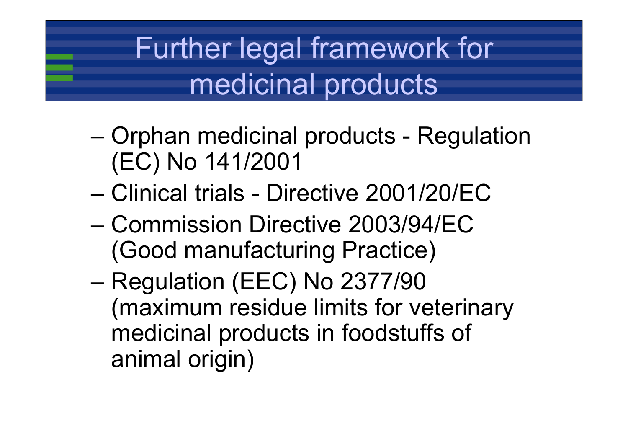Further legal framework for medicinal products

- – Orphan medicinal products - Regulation (EC) No 141/2001
- Clinical trials Directive 2001/20/EC
- Commission Directive 2003/94/EC (Good manufacturing Practice)
- – Regulation (EEC) No 2377/90 (maximum residue limits for veterinary medicinal products in foodstuffs of animal origin)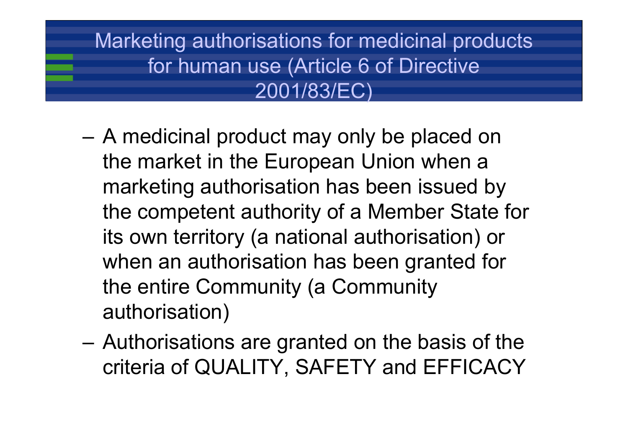Marketing authorisations for medicinal products for human use (Article 6 of Directive 2001/83/EC)

- A medicinal product may only be placed on the market in the European Union when a marketing authorisation has been issued by the competent authority of a Member State for its own territory (a national authorisation) or when an authorisation has been granted for the entire Community (a Community authorisation)
- Authorisations are granted on the basis of the criteria of QUALITY, SAFETY and EFFICACY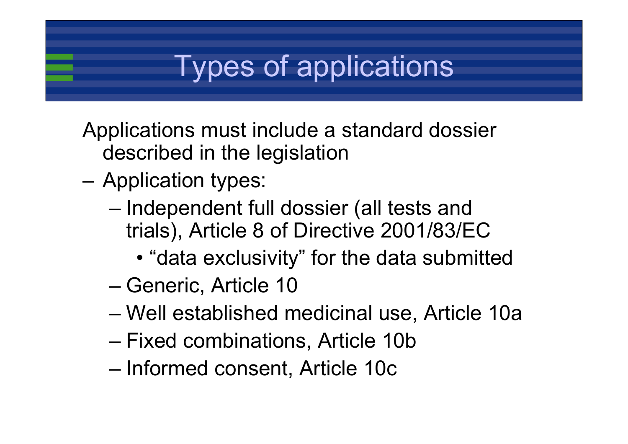# Types of applications

Applications must include a standard dossier described in the legislation

- Application types:
	- Independent full dossier (all tests and trials), Article 8 of Directive 2001/83/EC
		- "data exclusivity" for the data submitted
	- Generic, Article 10
	- Well established medicinal use, Article 10a
	- Fixed combinations, Article 10b
	- Informed consent, Article 10c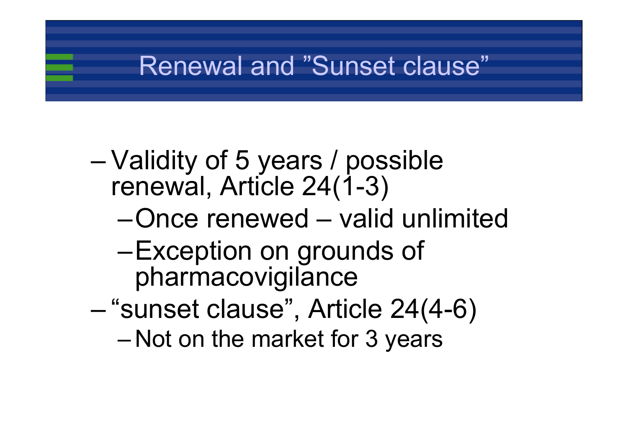### Renewal and "Sunset clause"

- – Validity of 5 years / possible renewal, Article 24(1-3)
	- –Once renewed valid unlimited
	- –Exception on grounds of pharmacovigilance
- – "sunset clause", Article 24(4-6)
	- –Not on the market for 3 years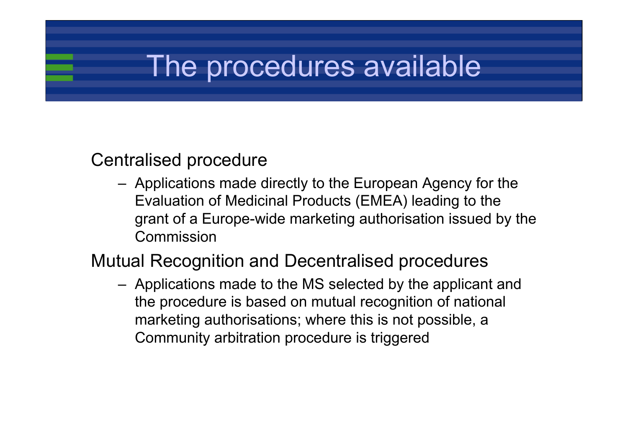# The procedures available

#### Centralised procedure

 Applications made directly to the European Agency for the Evaluation of Medicinal Products (EMEA) leading to the grant of a Europe-wide marketing authorisation issued by the Commission

#### Mutual Recognition and Decentralised procedures

 Applications made to the MS selected by the applicant and the procedure is based on mutual recognition of national marketing authorisations; where this is not possible, a Community arbitration procedure is triggered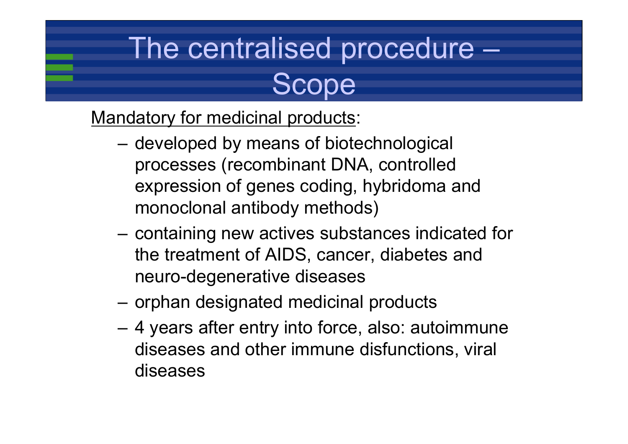# The centralised procedure – Scope

#### Mandatory for medicinal products:

- – developed by means of biotechnological processes (recombinant DNA, controlled expression of genes coding, hybridoma and monoclonal antibody methods)
- – containing new actives substances indicated for the treatment of AIDS, cancer, diabetes and neuro-degenerative diseases
- –orphan designated medicinal products
- – 4 years after entry into force, also: autoimmune diseases and other immune disfunctions, viral diseases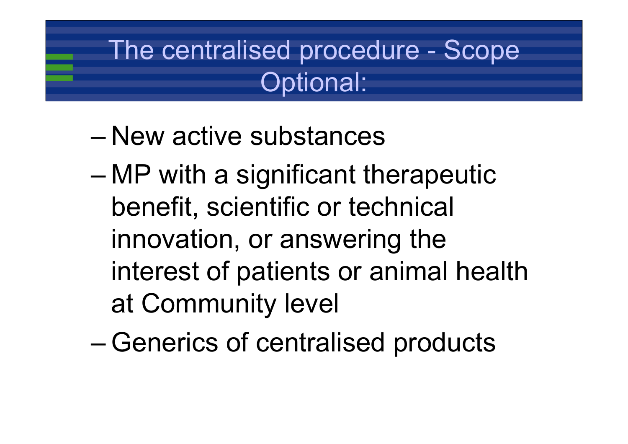# The centralised procedure - Scope Optional:

- –New active substances
- – MP with a significant therapeutic benefit, scientific or technical innovation, or answering the interest of patients or animal health at Community level

Generics of centralised products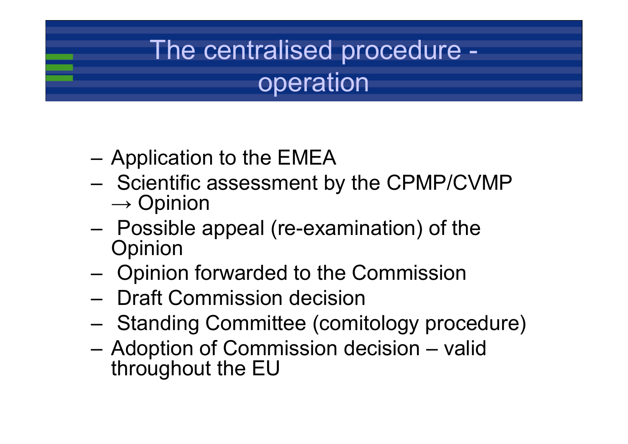# The centralised procedure operation

- –Application to the EMEA
- – Scientific assessment by the CPMP/CVMP  $\rightarrow$  Opinion
- – Possible appeal (re-examination) of the **Opinion**
- –Opinion forwarded to the Commission
- –Draft Commission decision
- –Standing Committee (comitology procedure)
- – Adoption of Commission decision – valid throughout the EU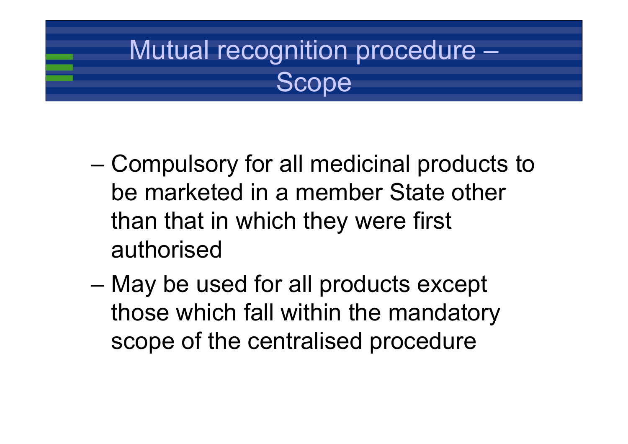# Mutual recognition procedure – Scope

- – Compulsory for all medicinal products to be marketed in a member State other than that in which they were first authorised
- – May be used for all products except those which fall within the mandatory scope of the centralised procedure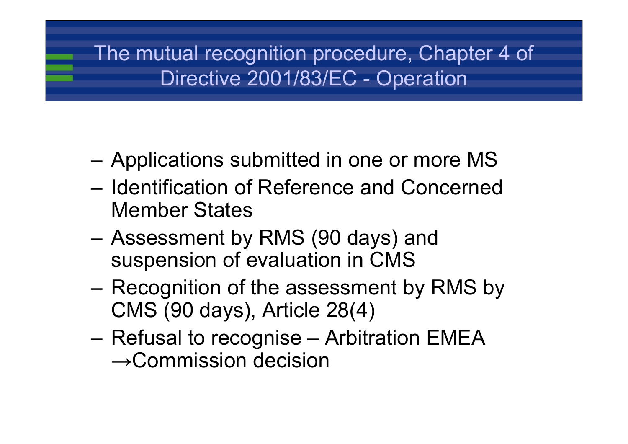#### The mutual recognition procedure, Chapter 4 of Directive 2001/83/EC - Operation

- –Applications submitted in one or more MS
- Identification of Reference and Concerned Member States
- – Assessment by RMS (90 days) and suspension of evaluation in CMS
- – Recognition of the assessment by RMS by CMS (90 days), Article 28(4)
- – Refusal to recognise – Arbitration EMEA  $\rightarrow$ Commission decision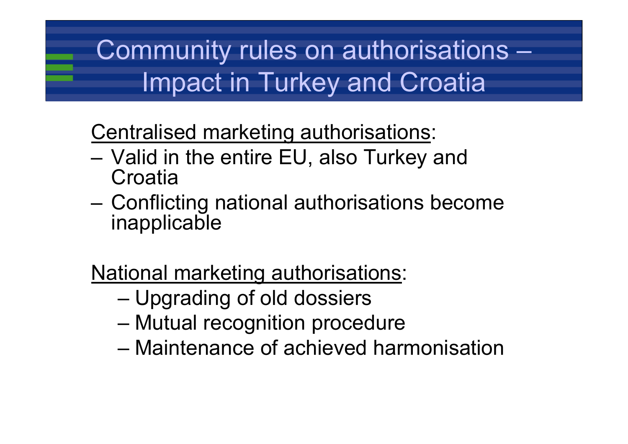# Community rules on authorisations – Impact in Turkey and Croatia

Centralised marketing authorisations:

- – Valid in the entire EU, also Turkey and **Croatia**
- – Conflicting national authorisations become inapplicable

National marketing authorisations:

- –Upgrading of old dossiers
- –Mutual recognition procedure
- Maintenance of achieved harmonisation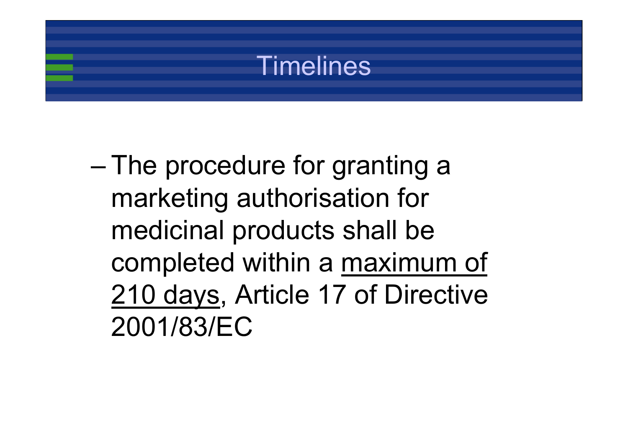#### **Timelines**

#### – The procedure for granting a marketing authorisation for medicinal products shall be completed within a maximum of 210 days, Article 17 of Directive 2001/83/EC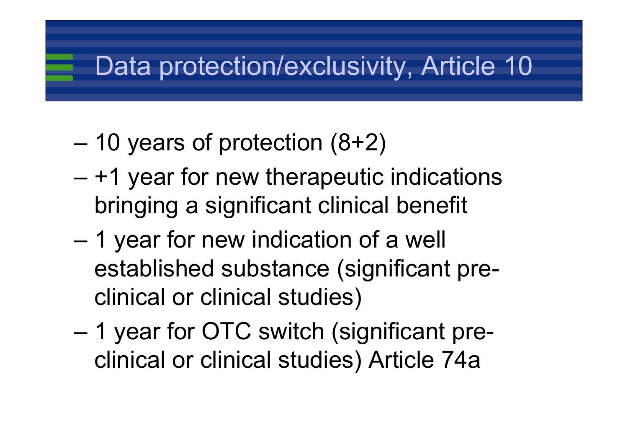## Data protection/exclusivity, Article 10

- –10 years of protection (8+2)
- – +1 year for new therapeutic indications bringing a significant clinical benefit
- – 1 year for new indication of a well established substance (significant preclinical or clinical studies)
- – 1 year for OTC switch (significant preclinical or clinical studies) Article 74a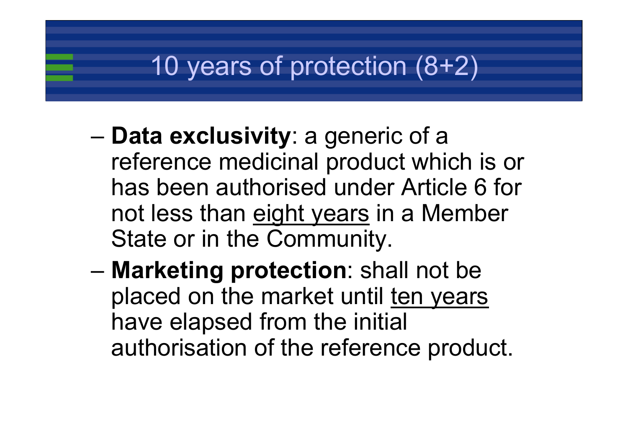# 10 years of protection (8+2)

- – **Data exclusivity**: a generic of a reference medicinal product which is or has been authorised under Article 6 for not less than eight years in a Member State or in the Community.
- – **Marketing protection**: shall not be placed on the market until ten years have elapsed from the initial authorisation of the reference product.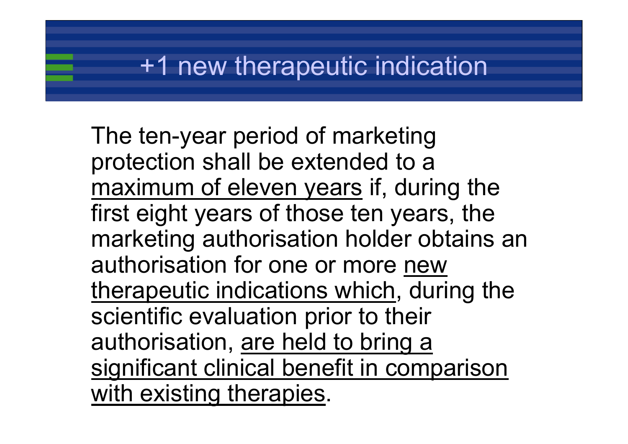#### +1 new therapeutic indication

The ten-year period of marketing protection shall be extended to a maximum of eleven years if, during the first eight years of those ten years, the marketing authorisation holder obtains an authorisation for one or more new therapeutic indications which, during the scientific evaluation prior to their authorisation, are held to bring a significant clinical benefit in comparison with existing therapies.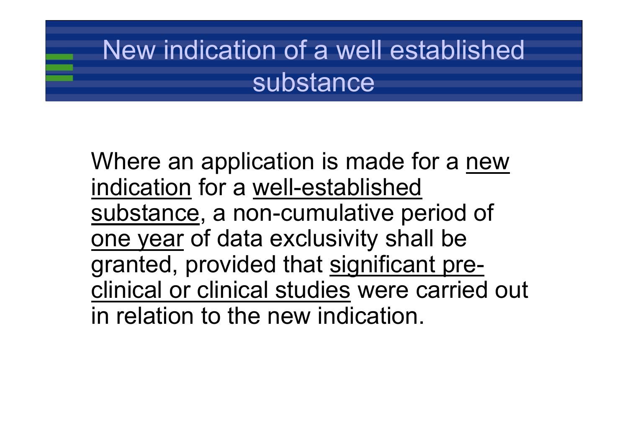# New indication of a well established substance

Where an application is made for a new indication for a well-established substance, a non-cumulative period of one year of data exclusivity shall be granted, provided that significant preclinical or clinical studies were carried out in relation to the new indication.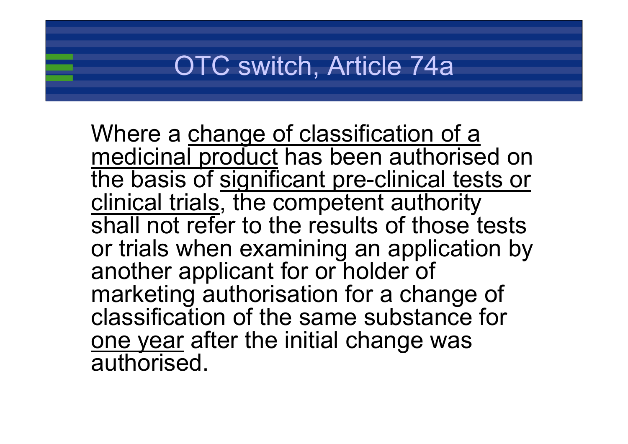#### OTC switch, Article 74a

Where a change of classification of a medicinal product has been authorised on the basis of significant pre-clinical tests or clinical trials, the competent authority shall not refer to the results of those tests or trials when examining an application by another applicant for or holder of marketing authorisation for a change of classification of the same substance for one year after the initial change was authorised.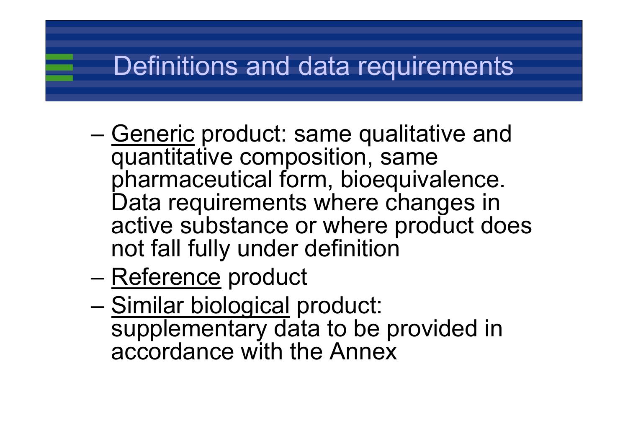# Definitions and data requirements

- <u>Generic</u> product: same qualitative and quantitative composition, same pharmaceutical form, bioequivalence. Data requirements where changes in active substance or where product does not fall fully under definition
- <u>Reference</u> product
- – Similar biological product: supplementary data to be provided in accordance with the Annex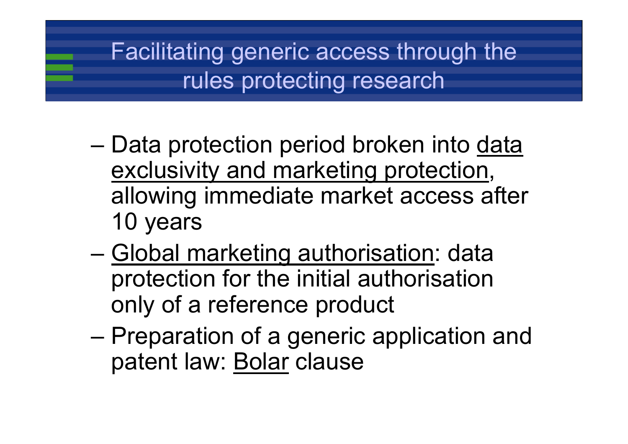Facilitating generic access through the rules protecting research

- –Data protection period broken into data exclusivity and marketing protection, allowing immediate market access after 10 years
- – Global marketing authorisation: data protection for the initial authorisation only of a reference product
- – Preparation of a generic application and patent law: Bolar clause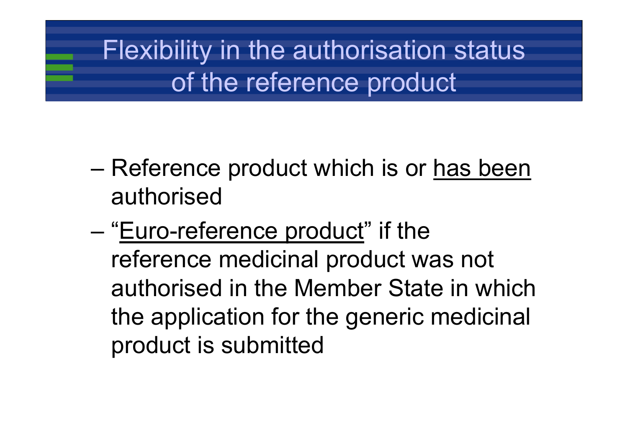Flexibility in the authorisation status of the reference product

- –Reference product which is or has been authorised
- –"<u>Euro-reference product</u>" if the reference medicinal product was not authorised in the Member State in which the application for the generic medicinal product is submitted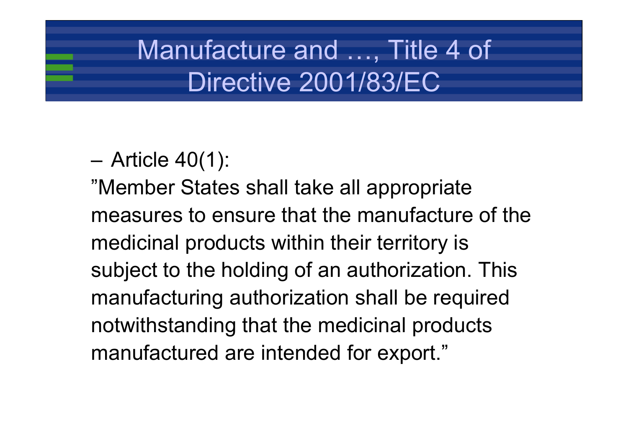## Manufacture and …, Title 4 of Directive 2001/83/EC

#### –Article 40(1):

"Member States shall take all appropriate measures to ensure that the manufacture of themedicinal products within their territory is subject to the holding of an authorization. This manufacturing authorization shall be required notwithstanding that the medicinal products manufactured are intended for export."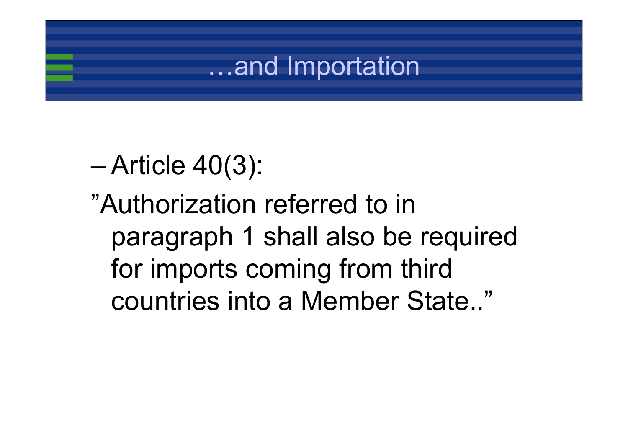## …and Importation

#### **Links of the Common** Article 40(3):

"Authorization referred to in paragraph 1 shall also be required for imports coming from third countries into a Member State.."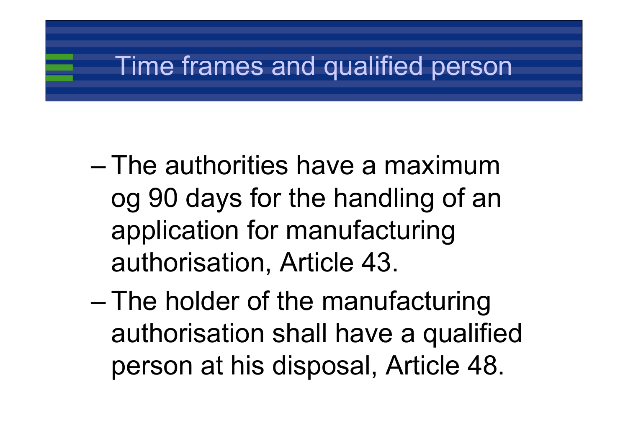### Time frames and qualified person

- **Links of the Common**  The authorities have a maximum og 90 days for the handling of an application for manufacturing authorisation, Article 43.
- **Harry Committee**  The holder of the manufacturing authorisation shall have a qualified person at his disposal, Article 48.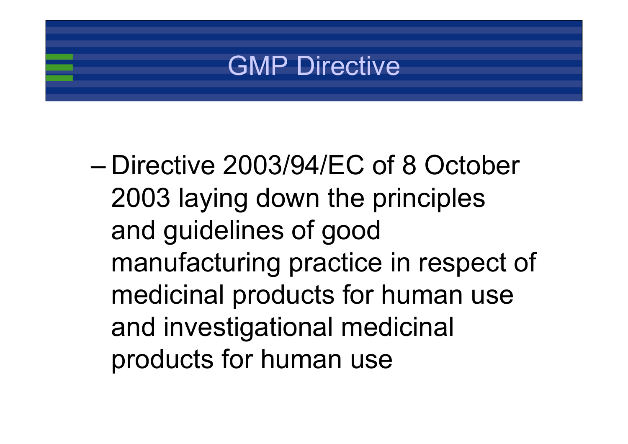#### GMP Directive

#### **Links of the Common**  Directive 2003/94/EC of 8 October 2003 laying down the principles and guidelines of good manufacturing practice in respect of medicinal products for human use and investigational medicinal products for human use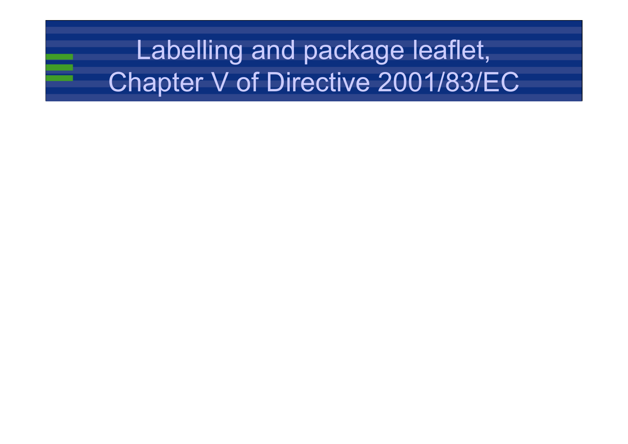## Labelling and package leaflet, Chapter V of Directive 2001/83/EC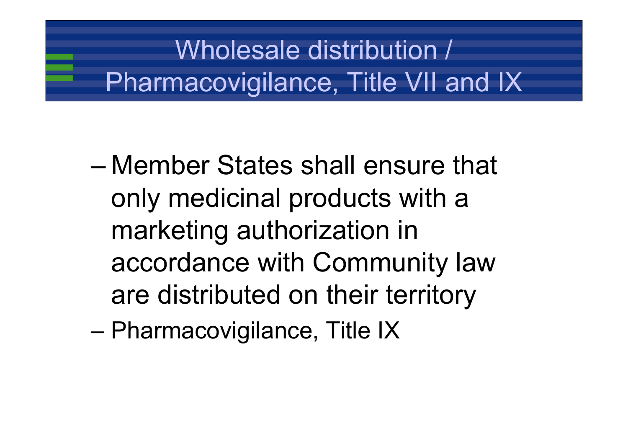# Wholesale distribution / Pharmacovigilance, Title VII and IX

- **Links of the Common**  Member States shall ensure that only medicinal products with a marketing authorization in accordance with Community law are distributed on their territory
- –Pharmacovigilance, Title IX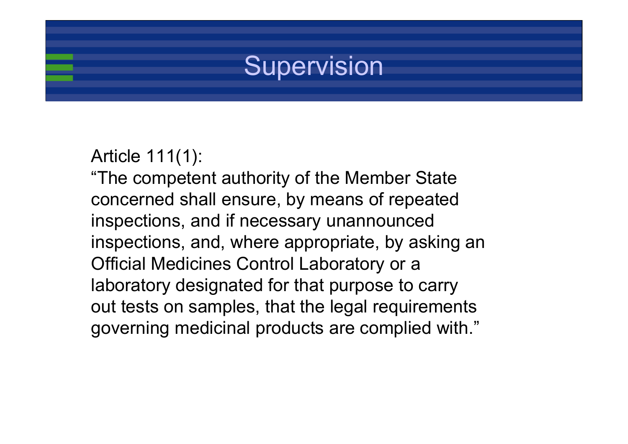

#### Article 111(1):

"The competent authority of the Member State concerned shall ensure, by means of repeated inspections, and if necessary unannounced inspections, and, where appropriate, by asking an Official Medicines Control Laboratory or a laboratory designated for that purpose to carry out tests on samples, that the legal requirements governing medicinal products are complied with."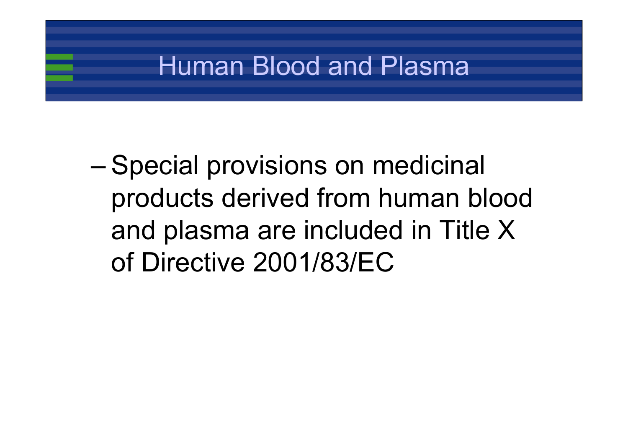#### Human Blood and Plasma

**Links of the Common**  Special provisions on medicinal products derived from human blood and plasma are included in Title X of Directive 2001/83/EC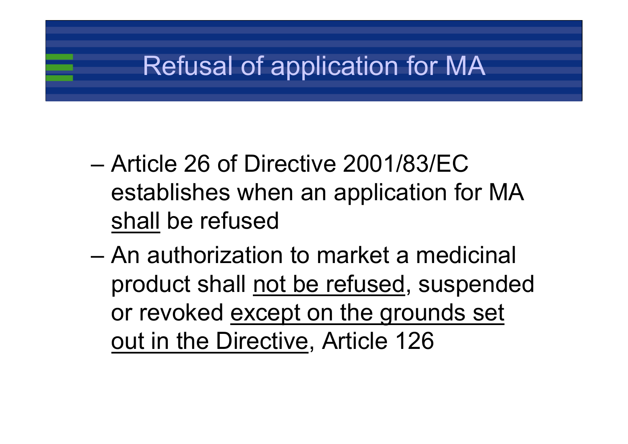# Refusal of application for MA

- Article 26 of Directive 2001/83/EC establishes when an application for MA shall be refused
- An authorization to market a medicinal product shall not be refused, suspended or revoked except on the grounds set out in the Directive, Article 126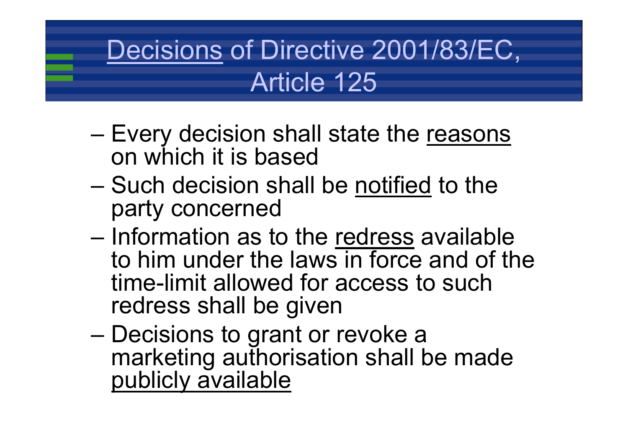# Decisions of Directive 2001/83/EC, Article 125

- –Every decision shall state the reasons on which it is based
- Such decision shall be notified to the party concerned
- Information as to the redress available to him under the laws in force and of the time-limit allowed for access to such redress shall be given
- – Decisions to grant or revoke a marketing authorisation shall be made publicly available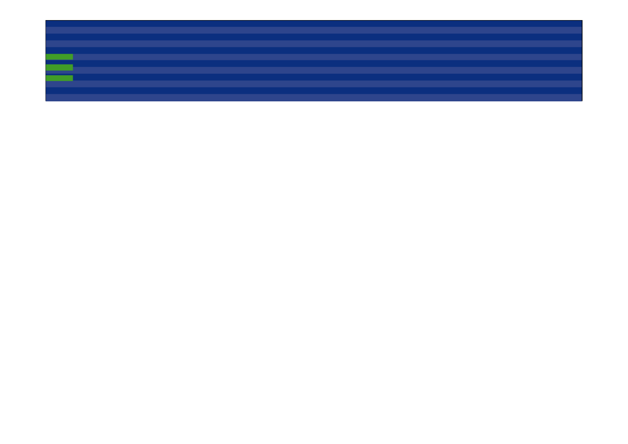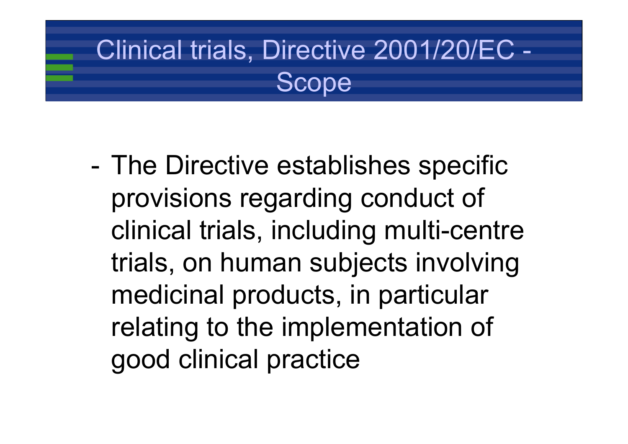# Clinical trials, Directive 2001/20/EC - Scope

- The Directive establishes specific provisions regarding conduct of clinical trials, including multi-centre trials, on human subjects involving medicinal products, in particular relating to the implementation of good clinical practice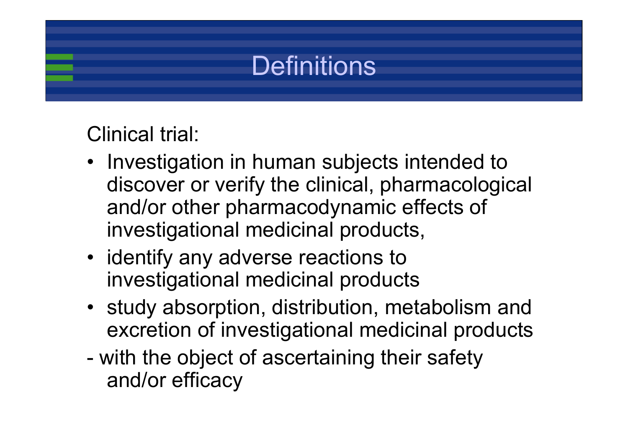### **Definitions**

Clinical trial:

- Investigation in human subjects intended to discover or verify the clinical, pharmacological and/or other pharmacodynamic effects of investigational medicinal products,
- identify any adverse reactions to investigational medicinal products
- study absorption, distribution, metabolism and excretion of investigational medicinal products
- with the object of ascertaining their safety and/or efficacy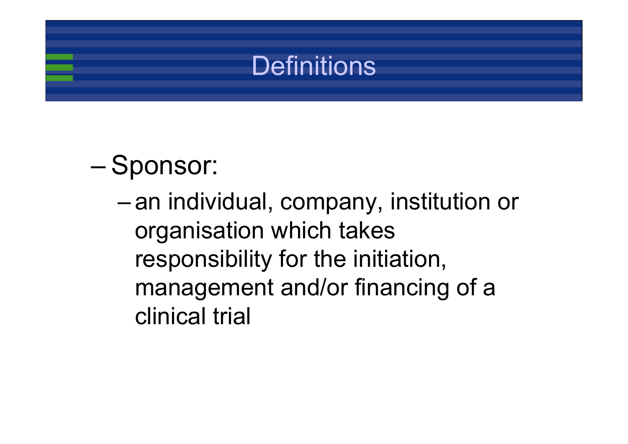#### **Definitions**

#### **Links of the Common** Sponsor:

– an individual, company, institution or organisation which takes responsibility for the initiation, management and/or financing of a clinical trial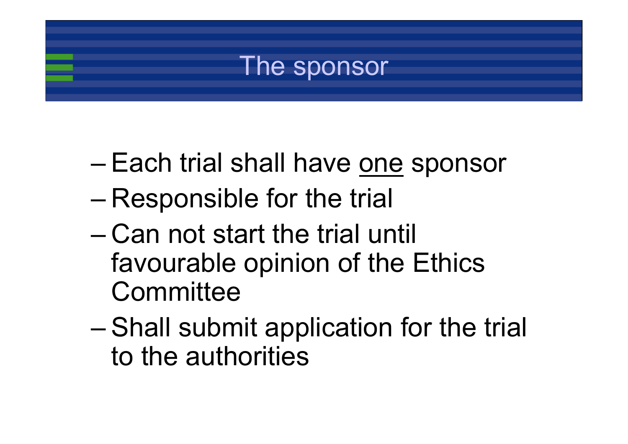

- –Each trial shall have one sponsor
- **Harry Committee** Responsible for the trial
- **Links of the Common**  Can not start the trial until favourable opinion of the Ethics **Committee**
- **Links of the Common**  Shall submit application for the trial to the authorities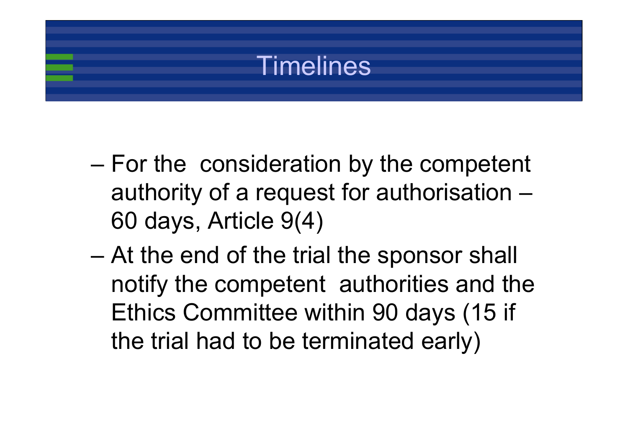

- – For the consideration by the competent authority of a request for authorisation – 60 days, Article 9(4)
- – At the end of the trial the sponsor shall notify the competent authorities and the Ethics Committee within 90 days (15 if the trial had to be terminated early)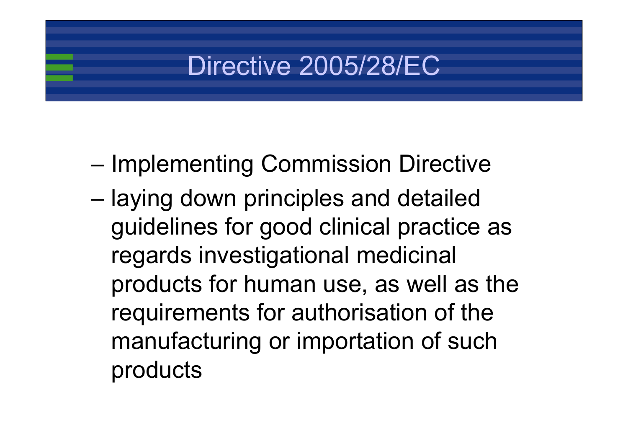#### Directive 2005/28/EC

- –Implementing Commission Directive
- – laying down principles and detailed guidelines for good clinical practice as regards investigational medicinal products for human use, as well as the requirements for authorisation of the manufacturing or importation of such products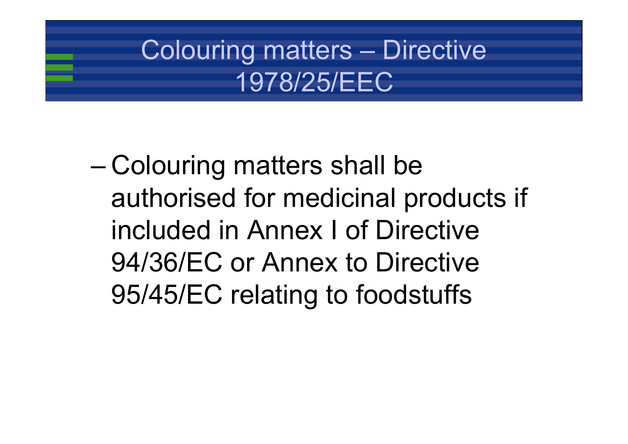Colouring matters – Directive 1978/25/EEC

**Links of the Common**  Colouring matters shall be authorised for medicinal products if included in Annex I of Directive 94/36/EC or Annex to Directive 95/45/EC relating to foodstuffs